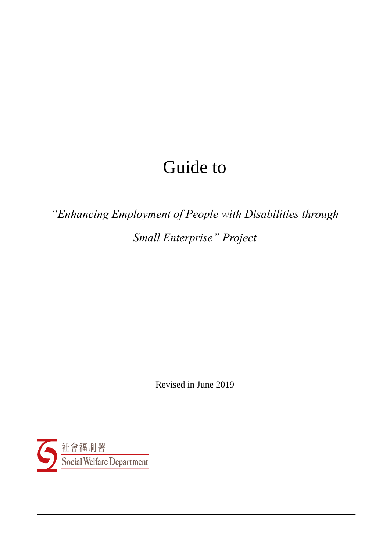# Guide to

*"Enhancing Employment of People with Disabilities through Small Enterprise" Project*

Revised in June 2019

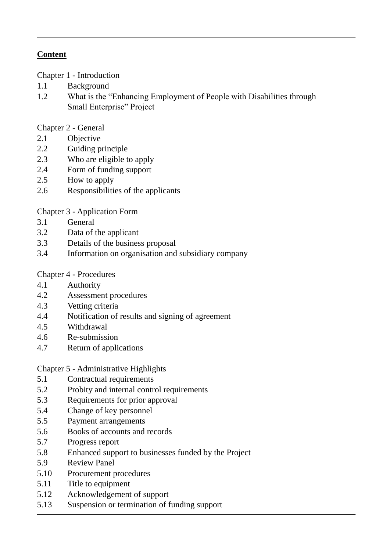# **Content**

Chapter 1 - Introduction

- 1.1 Background
- 1.2 What is the "Enhancing Employment of People with Disabilities through Small Enterprise" Project

Chapter 2 - General

- 2.1 Objective
- 2.2 Guiding principle
- 2.3 Who are eligible to apply
- 2.4 Form of funding support
- 2.5 How to apply
- 2.6 Responsibilities of the applicants

Chapter 3 - Application Form

- 3.1 General
- 3.2 Data of the applicant
- 3.3 Details of the business proposal
- 3.4 Information on organisation and subsidiary company

Chapter 4 - Procedures

- 4.1 Authority
- 4.2 Assessment procedures
- 4.3 Vetting criteria
- 4.4 Notification of results and signing of agreement
- 4.5 Withdrawal
- 4.6 Re-submission
- 4.7 Return of applications

# Chapter 5 - Administrative Highlights

- 5.1 Contractual requirements
- 5.2 Probity and internal control requirements
- 5.3 Requirements for prior approval
- 5.4 Change of key personnel
- 5.5 Payment arrangements
- 5.6 Books of accounts and records
- 5.7 Progress report
- 5.8 Enhanced support to businesses funded by the Project
- 5.9 Review Panel
- 5.10 Procurement procedures
- 5.11 Title to equipment
- 5.12 Acknowledgement of support
- 5.13 Suspension or termination of funding support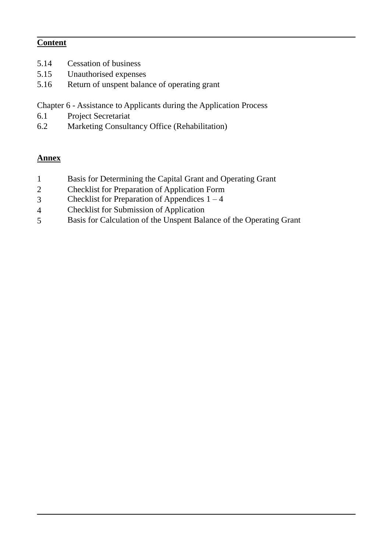# **Content**

- 5.14 Cessation of business
- 5.15 Unauthorised expenses
- 5.16 Return of unspent balance of operating grant

Chapter 6 - Assistance to Applicants during the Application Process

- 6.1 Project Secretariat
- 6.2 Marketing Consultancy Office (Rehabilitation)

#### **Annex**

- 1 Basis for Determining the Capital Grant and Operating Grant
- 2 Checklist for Preparation of Application Form
- $3$  Checklist for Preparation of Appendices  $1 4$
- 4 Checklist for Submission of Application
- 5 Basis for Calculation of the Unspent Balance of the Operating Grant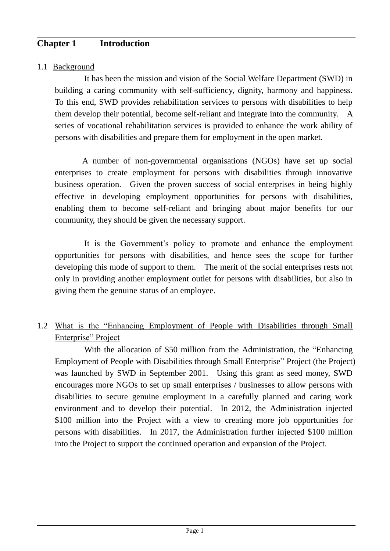# **Chapter 1 Introduction**

#### 1.1 Background

It has been the mission and vision of the Social Welfare Department (SWD) in building a caring community with self-sufficiency, dignity, harmony and happiness. To this end, SWD provides rehabilitation services to persons with disabilities to help them develop their potential, become self-reliant and integrate into the community. A series of vocational rehabilitation services is provided to enhance the work ability of persons with disabilities and prepare them for employment in the open market.

A number of non-governmental organisations (NGOs) have set up social enterprises to create employment for persons with disabilities through innovative business operation. Given the proven success of social enterprises in being highly effective in developing employment opportunities for persons with disabilities, enabling them to become self-reliant and bringing about major benefits for our community, they should be given the necessary support.

It is the Government's policy to promote and enhance the employment opportunities for persons with disabilities, and hence sees the scope for further developing this mode of support to them. The merit of the social enterprises rests not only in providing another employment outlet for persons with disabilities, but also in giving them the genuine status of an employee.

1.2 What is the "Enhancing Employment of People with Disabilities through Small Enterprise" Project

With the allocation of \$50 million from the Administration, the "Enhancing Employment of People with Disabilities through Small Enterprise" Project (the Project) was launched by SWD in September 2001. Using this grant as seed money, SWD encourages more NGOs to set up small enterprises / businesses to allow persons with disabilities to secure genuine employment in a carefully planned and caring work environment and to develop their potential. In 2012, the Administration injected \$100 million into the Project with a view to creating more job opportunities for persons with disabilities. In 2017, the Administration further injected \$100 million into the Project to support the continued operation and expansion of the Project.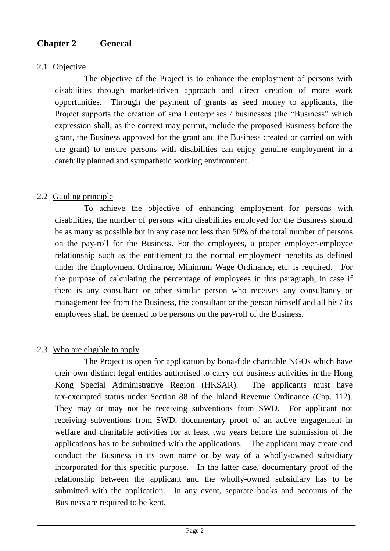# **Chapter 2 General**

# 2.1 Objective

The objective of the Project is to enhance the employment of persons with disabilities through market-driven approach and direct creation of more work opportunities. Through the payment of grants as seed money to applicants, the Project supports the creation of small enterprises / businesses (the "Business" which expression shall, as the context may permit, include the proposed Business before the grant, the Business approved for the grant and the Business created or carried on with the grant) to ensure persons with disabilities can enjoy genuine employment in a carefully planned and sympathetic working environment.

# 2.2 Guiding principle

To achieve the objective of enhancing employment for persons with disabilities, the number of persons with disabilities employed for the Business should be as many as possible but in any case not less than 50% of the total number of persons on the pay-roll for the Business. For the employees, a proper employer-employee relationship such as the entitlement to the normal employment benefits as defined under the Employment Ordinance, Minimum Wage Ordinance, etc. is required. For the purpose of calculating the percentage of employees in this paragraph, in case if there is any consultant or other similar person who receives any consultancy or management fee from the Business, the consultant or the person himself and all his / its employees shall be deemed to be persons on the pay-roll of the Business.

# 2.3 Who are eligible to apply

The Project is open for application by bona-fide charitable NGOs which have their own distinct legal entities authorised to carry out business activities in the Hong Kong Special Administrative Region (HKSAR). The applicants must have tax-exempted status under Section 88 of the Inland Revenue Ordinance (Cap. 112). They may or may not be receiving subventions from SWD. For applicant not receiving subventions from SWD, documentary proof of an active engagement in welfare and charitable activities for at least two years before the submission of the applications has to be submitted with the applications. The applicant may create and conduct the Business in its own name or by way of a wholly-owned subsidiary incorporated for this specific purpose. In the latter case, documentary proof of the relationship between the applicant and the wholly-owned subsidiary has to be submitted with the application. In any event, separate books and accounts of the Business are required to be kept.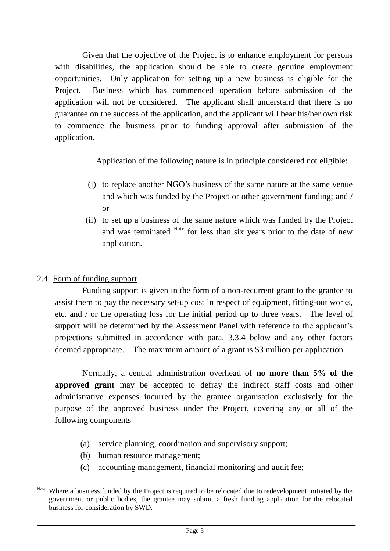Given that the objective of the Project is to enhance employment for persons with disabilities, the application should be able to create genuine employment opportunities. Only application for setting up a new business is eligible for the Project. Business which has commenced operation before submission of the application will not be considered. The applicant shall understand that there is no guarantee on the success of the application, and the applicant will bear his/her own risk to commence the business prior to funding approval after submission of the application.

Application of the following nature is in principle considered not eligible:

- (i) to replace another NGO's business of the same nature at the same venue and which was funded by the Project or other government funding; and / or
- (ii) to set up a business of the same nature which was funded by the Project and was terminated <sup>Note</sup> for less than six years prior to the date of new application.

# 2.4 Form of funding support

Funding support is given in the form of a non-recurrent grant to the grantee to assist them to pay the necessary set-up cost in respect of equipment, fitting-out works, etc. and / or the operating loss for the initial period up to three years. The level of support will be determined by the Assessment Panel with reference to the applicant's projections submitted in accordance with para. 3.3.4 below and any other factors deemed appropriate. The maximum amount of a grant is \$3 million per application.

Normally, a central administration overhead of **no more than 5% of the approved grant** may be accepted to defray the indirect staff costs and other administrative expenses incurred by the grantee organisation exclusively for the purpose of the approved business under the Project, covering any or all of the following components –

- (a) service planning, coordination and supervisory support;
- (b) human resource management;
- (c) accounting management, financial monitoring and audit fee;

<sup>1</sup> Note Where a business funded by the Project is required to be relocated due to redevelopment initiated by the government or public bodies, the grantee may submit a fresh funding application for the relocated business for consideration by SWD.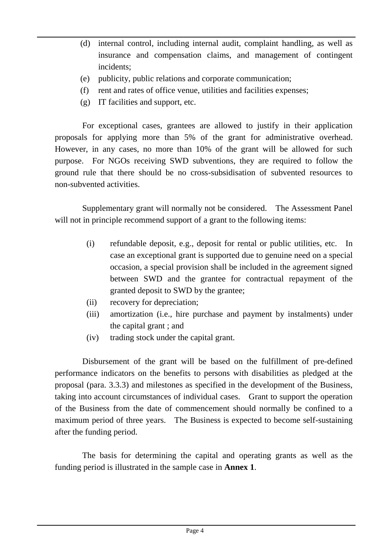- (d) internal control, including internal audit, complaint handling, as well as insurance and compensation claims, and management of contingent incidents;
- (e) publicity, public relations and corporate communication;
- (f) rent and rates of office venue, utilities and facilities expenses;
- (g) IT facilities and support, etc.

For exceptional cases, grantees are allowed to justify in their application proposals for applying more than 5% of the grant for administrative overhead. However, in any cases, no more than 10% of the grant will be allowed for such purpose. For NGOs receiving SWD subventions, they are required to follow the ground rule that there should be no cross-subsidisation of subvented resources to non-subvented activities.

Supplementary grant will normally not be considered. The Assessment Panel will not in principle recommend support of a grant to the following items:

- (i) refundable deposit, e.g., deposit for rental or public utilities, etc. In case an exceptional grant is supported due to genuine need on a special occasion, a special provision shall be included in the agreement signed between SWD and the grantee for contractual repayment of the granted deposit to SWD by the grantee;
- (ii) recovery for depreciation;
- (iii) amortization (i.e., hire purchase and payment by instalments) under the capital grant ; and
- (iv) trading stock under the capital grant.

Disbursement of the grant will be based on the fulfillment of pre-defined performance indicators on the benefits to persons with disabilities as pledged at the proposal (para. 3.3.3) and milestones as specified in the development of the Business, taking into account circumstances of individual cases. Grant to support the operation of the Business from the date of commencement should normally be confined to a maximum period of three years. The Business is expected to become self-sustaining after the funding period.

The basis for determining the capital and operating grants as well as the funding period is illustrated in the sample case in **Annex 1**.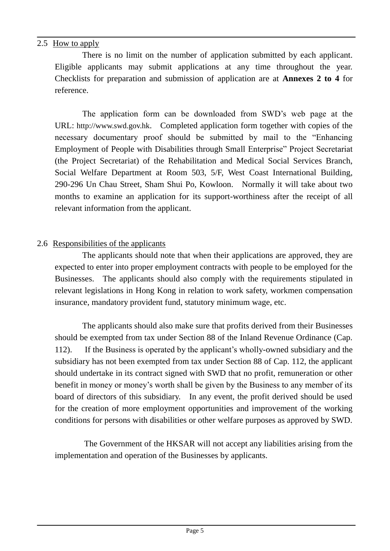#### 2.5 How to apply

There is no limit on the number of application submitted by each applicant. Eligible applicants may submit applications at any time throughout the year. Checklists for preparation and submission of application are at **Annexes 2 to 4** for reference.

The application form can be downloaded from SWD's web page at the URL: [http://www.swd.gov.hk](http://www.swd.gov.hk/). Completed application form together with copies of the necessary documentary proof should be submitted by mail to the "Enhancing Employment of People with Disabilities through Small Enterprise" Project Secretariat (the Project Secretariat) of the Rehabilitation and Medical Social Services Branch, Social Welfare Department at Room 503, 5/F, West Coast International Building, 290-296 Un Chau Street, Sham Shui Po, Kowloon. Normally it will take about two months to examine an application for its support-worthiness after the receipt of all relevant information from the applicant.

#### 2.6 Responsibilities of the applicants

The applicants should note that when their applications are approved, they are expected to enter into proper employment contracts with people to be employed for the Businesses. The applicants should also comply with the requirements stipulated in relevant legislations in Hong Kong in relation to work safety, workmen compensation insurance, mandatory provident fund, statutory minimum wage, etc.

The applicants should also make sure that profits derived from their Businesses should be exempted from tax under Section 88 of the Inland Revenue Ordinance (Cap. 112). If the Business is operated by the applicant's wholly-owned subsidiary and the subsidiary has not been exempted from tax under Section 88 of Cap. 112, the applicant should undertake in its contract signed with SWD that no profit, remuneration or other benefit in money or money's worth shall be given by the Business to any member of its board of directors of this subsidiary. In any event, the profit derived should be used for the creation of more employment opportunities and improvement of the working conditions for persons with disabilities or other welfare purposes as approved by SWD.

The Government of the HKSAR will not accept any liabilities arising from the implementation and operation of the Businesses by applicants.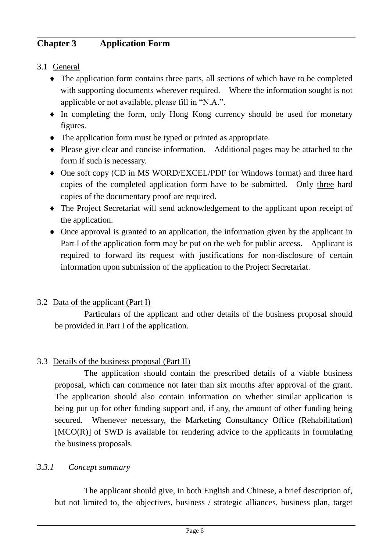# **Chapter 3 Application Form**

# 3.1 General

- The application form contains three parts, all sections of which have to be completed with supporting documents wherever required. Where the information sought is not applicable or not available, please fill in "N.A.".
- In completing the form, only Hong Kong currency should be used for monetary figures.
- The application form must be typed or printed as appropriate.
- Please give clear and concise information. Additional pages may be attached to the form if such is necessary.
- One soft copy (CD in MS WORD/EXCEL/PDF for Windows format) and three hard copies of the completed application form have to be submitted. Only three hard copies of the documentary proof are required.
- The Project Secretariat will send acknowledgement to the applicant upon receipt of the application.
- Once approval is granted to an application, the information given by the applicant in Part I of the application form may be put on the web for public access. Applicant is required to forward its request with justifications for non-disclosure of certain information upon submission of the application to the Project Secretariat.

# 3.2 Data of the applicant (Part I)

Particulars of the applicant and other details of the business proposal should be provided in Part I of the application.

# 3.3 Details of the business proposal (Part II)

The application should contain the prescribed details of a viable business proposal, which can commence not later than six months after approval of the grant. The application should also contain information on whether similar application is being put up for other funding support and, if any, the amount of other funding being secured. Whenever necessary, the Marketing Consultancy Office (Rehabilitation) [MCO(R)] of SWD is available for rendering advice to the applicants in formulating the business proposals.

# *3.3.1 Concept summary*

The applicant should give, in both English and Chinese, a brief description of, but not limited to, the objectives, business / strategic alliances, business plan, target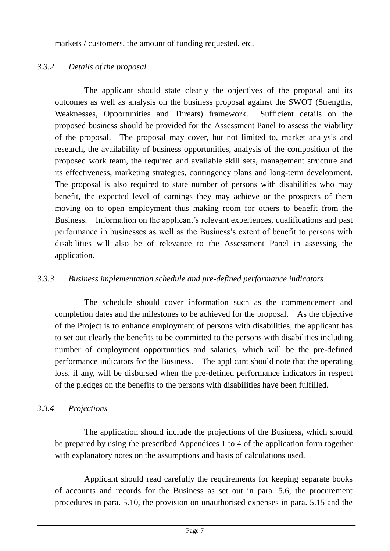markets / customers, the amount of funding requested, etc.

# *3.3.2 Details of the proposal*

The applicant should state clearly the objectives of the proposal and its outcomes as well as analysis on the business proposal against the SWOT (Strengths, Weaknesses, Opportunities and Threats) framework. Sufficient details on the proposed business should be provided for the Assessment Panel to assess the viability of the proposal. The proposal may cover, but not limited to, market analysis and research, the availability of business opportunities, analysis of the composition of the proposed work team, the required and available skill sets, management structure and its effectiveness, marketing strategies, contingency plans and long-term development. The proposal is also required to state number of persons with disabilities who may benefit, the expected level of earnings they may achieve or the prospects of them moving on to open employment thus making room for others to benefit from the Business. Information on the applicant's relevant experiences, qualifications and past performance in businesses as well as the Business's extent of benefit to persons with disabilities will also be of relevance to the Assessment Panel in assessing the application.

# *3.3.3 Business implementation schedule and pre-defined performance indicators*

The schedule should cover information such as the commencement and completion dates and the milestones to be achieved for the proposal. As the objective of the Project is to enhance employment of persons with disabilities, the applicant has to set out clearly the benefits to be committed to the persons with disabilities including number of employment opportunities and salaries, which will be the pre-defined performance indicators for the Business. The applicant should note that the operating loss, if any, will be disbursed when the pre-defined performance indicators in respect of the pledges on the benefits to the persons with disabilities have been fulfilled.

# *3.3.4 Projections*

The application should include the projections of the Business, which should be prepared by using the prescribed Appendices 1 to 4 of the application form together with explanatory notes on the assumptions and basis of calculations used.

Applicant should read carefully the requirements for keeping separate books of accounts and records for the Business as set out in para. 5.6, the procurement procedures in para. 5.10, the provision on unauthorised expenses in para. 5.15 and the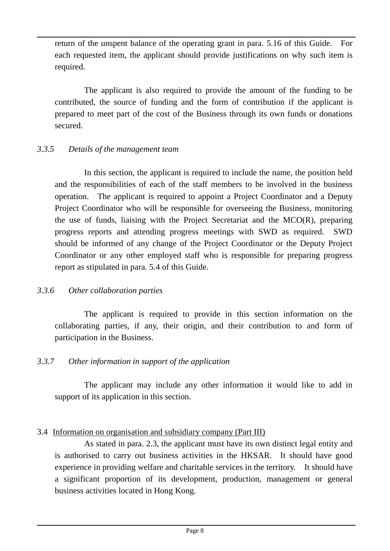return of the unspent balance of the operating grant in para. 5.16 of this Guide. For each requested item, the applicant should provide justifications on why such item is required.

The applicant is also required to provide the amount of the funding to be contributed, the source of funding and the form of contribution if the applicant is prepared to meet part of the cost of the Business through its own funds or donations secured.

#### *3.3.5 Details of the management team*

In this section, the applicant is required to include the name, the position held and the responsibilities of each of the staff members to be involved in the business operation. The applicant is required to appoint a Project Coordinator and a Deputy Project Coordinator who will be responsible for overseeing the Business, monitoring the use of funds, liaising with the Project Secretariat and the MCO(R), preparing progress reports and attending progress meetings with SWD as required. SWD should be informed of any change of the Project Coordinator or the Deputy Project Coordinator or any other employed staff who is responsible for preparing progress report as stipulated in para. 5.4 of this Guide.

#### *3.3.6 Other collaboration parties*

The applicant is required to provide in this section information on the collaborating parties, if any, their origin, and their contribution to and form of participation in the Business.

#### *3.3.7 Other information in support of the application*

The applicant may include any other information it would like to add in support of its application in this section.

#### 3.4 Information on organisation and subsidiary company (Part III)

As stated in para. 2.3, the applicant must have its own distinct legal entity and is authorised to carry out business activities in the HKSAR. It should have good experience in providing welfare and charitable services in the territory. It should have a significant proportion of its development, production, management or general business activities located in Hong Kong.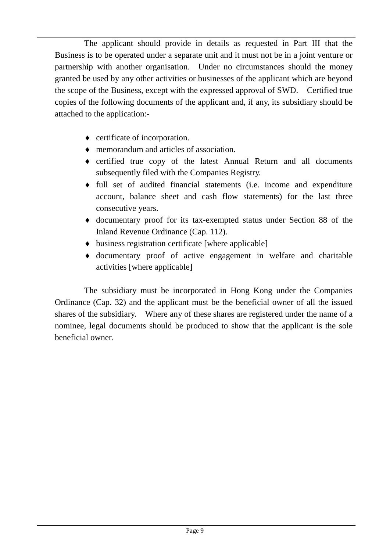The applicant should provide in details as requested in Part III that the Business is to be operated under a separate unit and it must not be in a joint venture or partnership with another organisation. Under no circumstances should the money granted be used by any other activities or businesses of the applicant which are beyond the scope of the Business, except with the expressed approval of SWD. Certified true copies of the following documents of the applicant and, if any, its subsidiary should be attached to the application:-

- certificate of incorporation.
- memorandum and articles of association.
- certified true copy of the latest Annual Return and all documents subsequently filed with the Companies Registry.
- full set of audited financial statements (i.e. income and expenditure account, balance sheet and cash flow statements) for the last three consecutive years.
- documentary proof for its tax-exempted status under Section 88 of the Inland Revenue Ordinance (Cap. 112).
- $\bullet$  business registration certificate [where applicable]
- documentary proof of active engagement in welfare and charitable activities [where applicable]

The subsidiary must be incorporated in Hong Kong under the Companies Ordinance (Cap. 32) and the applicant must be the beneficial owner of all the issued shares of the subsidiary. Where any of these shares are registered under the name of a nominee, legal documents should be produced to show that the applicant is the sole beneficial owner.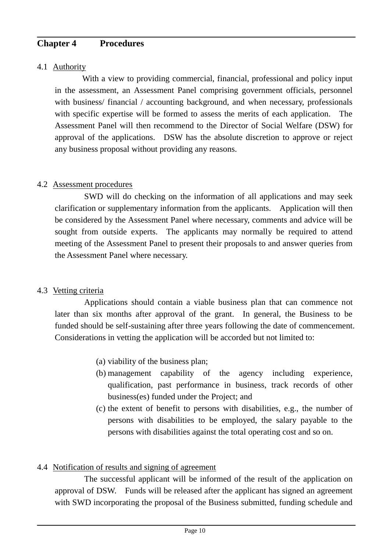# **Chapter 4 Procedures**

#### 4.1 Authority

With a view to providing commercial, financial, professional and policy input in the assessment, an Assessment Panel comprising government officials, personnel with business/ financial / accounting background, and when necessary, professionals with specific expertise will be formed to assess the merits of each application. The Assessment Panel will then recommend to the Director of Social Welfare (DSW) for approval of the applications. DSW has the absolute discretion to approve or reject any business proposal without providing any reasons.

#### 4.2 Assessment procedures

SWD will do checking on the information of all applications and may seek clarification or supplementary information from the applicants. Application will then be considered by the Assessment Panel where necessary, comments and advice will be sought from outside experts. The applicants may normally be required to attend meeting of the Assessment Panel to present their proposals to and answer queries from the Assessment Panel where necessary.

# 4.3 Vetting criteria

Applications should contain a viable business plan that can commence not later than six months after approval of the grant. In general, the Business to be funded should be self-sustaining after three years following the date of commencement. Considerations in vetting the application will be accorded but not limited to:

- (a) viability of the business plan;
- (b) management capability of the agency including experience, qualification, past performance in business, track records of other business(es) funded under the Project; and
- (c) the extent of benefit to persons with disabilities, e.g., the number of persons with disabilities to be employed, the salary payable to the persons with disabilities against the total operating cost and so on.

# 4.4 Notification of results and signing of agreement

The successful applicant will be informed of the result of the application on approval of DSW. Funds will be released after the applicant has signed an agreement with SWD incorporating the proposal of the Business submitted, funding schedule and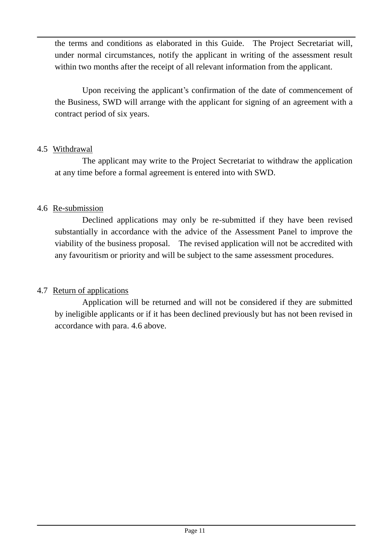the terms and conditions as elaborated in this Guide. The Project Secretariat will, under normal circumstances, notify the applicant in writing of the assessment result within two months after the receipt of all relevant information from the applicant.

Upon receiving the applicant's confirmation of the date of commencement of the Business, SWD will arrange with the applicant for signing of an agreement with a contract period of six years.

# 4.5 Withdrawal

The applicant may write to the Project Secretariat to withdraw the application at any time before a formal agreement is entered into with SWD.

# 4.6 Re-submission

Declined applications may only be re-submitted if they have been revised substantially in accordance with the advice of the Assessment Panel to improve the viability of the business proposal. The revised application will not be accredited with any favouritism or priority and will be subject to the same assessment procedures.

# 4.7 Return of applications

Application will be returned and will not be considered if they are submitted by ineligible applicants or if it has been declined previously but has not been revised in accordance with para. 4.6 above.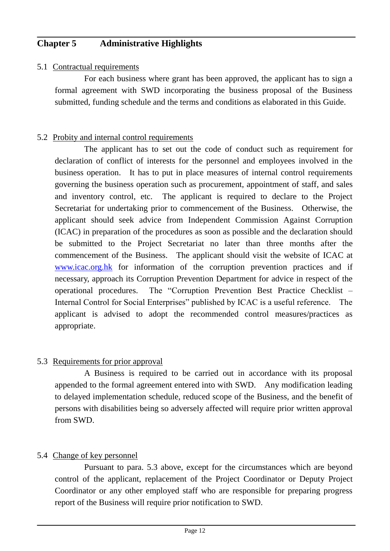# **Chapter 5 Administrative Highlights**

#### 5.1 Contractual requirements

For each business where grant has been approved, the applicant has to sign a formal agreement with SWD incorporating the business proposal of the Business submitted, funding schedule and the terms and conditions as elaborated in this Guide.

#### 5.2 Probity and internal control requirements

 The applicant has to set out the code of conduct such as requirement for declaration of conflict of interests for the personnel and employees involved in the business operation. It has to put in place measures of internal control requirements governing the business operation such as procurement, appointment of staff, and sales and inventory control, etc. The applicant is required to declare to the Project Secretariat for undertaking prior to commencement of the Business. Otherwise, the applicant should seek advice from Independent Commission Against Corruption (ICAC) in preparation of the procedures as soon as possible and the declaration should be submitted to the Project Secretariat no later than three months after the commencement of the Business. The applicant should visit the website of ICAC at [www.icac.org.hk](http://www.icac.org.hk/) for information of the corruption prevention practices and if necessary, approach its Corruption Prevention Department for advice in respect of the operational procedures. The "Corruption Prevention Best Practice Checklist – Internal Control for Social Enterprises" published by ICAC is a useful reference. The applicant is advised to adopt the recommended control measures/practices as appropriate.

#### 5.3 Requirements for prior approval

A Business is required to be carried out in accordance with its proposal appended to the formal agreement entered into with SWD. Any modification leading to delayed implementation schedule, reduced scope of the Business, and the benefit of persons with disabilities being so adversely affected will require prior written approval from SWD.

# 5.4 Change of key personnel

Pursuant to para. 5.3 above, except for the circumstances which are beyond control of the applicant, replacement of the Project Coordinator or Deputy Project Coordinator or any other employed staff who are responsible for preparing progress report of the Business will require prior notification to SWD.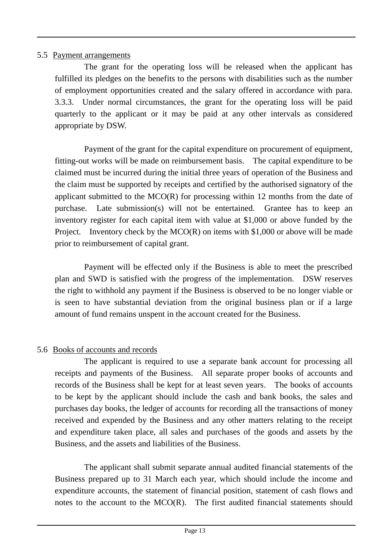#### 5.5 Payment arrangements

The grant for the operating loss will be released when the applicant has fulfilled its pledges on the benefits to the persons with disabilities such as the number of employment opportunities created and the salary offered in accordance with para. 3.3.3. Under normal circumstances, the grant for the operating loss will be paid quarterly to the applicant or it may be paid at any other intervals as considered appropriate by DSW.

Payment of the grant for the capital expenditure on procurement of equipment, fitting-out works will be made on reimbursement basis. The capital expenditure to be claimed must be incurred during the initial three years of operation of the Business and the claim must be supported by receipts and certified by the authorised signatory of the applicant submitted to the MCO(R) for processing within 12 months from the date of purchase. Late submission(s) will not be entertained. Grantee has to keep an inventory register for each capital item with value at \$1,000 or above funded by the Project. Inventory check by the  $MCO(R)$  on items with \$1,000 or above will be made prior to reimbursement of capital grant.

Payment will be effected only if the Business is able to meet the prescribed plan and SWD is satisfied with the progress of the implementation. DSW reserves the right to withhold any payment if the Business is observed to be no longer viable or is seen to have substantial deviation from the original business plan or if a large amount of fund remains unspent in the account created for the Business.

# 5.6 Books of accounts and records

The applicant is required to use a separate bank account for processing all receipts and payments of the Business. All separate proper books of accounts and records of the Business shall be kept for at least seven years. The books of accounts to be kept by the applicant should include the cash and bank books, the sales and purchases day books, the ledger of accounts for recording all the transactions of money received and expended by the Business and any other matters relating to the receipt and expenditure taken place, all sales and purchases of the goods and assets by the Business, and the assets and liabilities of the Business.

The applicant shall submit separate annual audited financial statements of the Business prepared up to 31 March each year, which should include the income and expenditure accounts, the statement of financial position, statement of cash flows and notes to the account to the MCO(R). The first audited financial statements should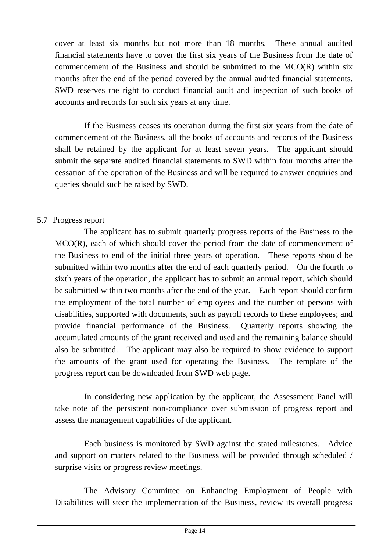cover at least six months but not more than 18 months. These annual audited financial statements have to cover the first six years of the Business from the date of commencement of the Business and should be submitted to the MCO(R) within six months after the end of the period covered by the annual audited financial statements. SWD reserves the right to conduct financial audit and inspection of such books of accounts and records for such six years at any time.

If the Business ceases its operation during the first six years from the date of commencement of the Business, all the books of accounts and records of the Business shall be retained by the applicant for at least seven years. The applicant should submit the separate audited financial statements to SWD within four months after the cessation of the operation of the Business and will be required to answer enquiries and queries should such be raised by SWD.

# 5.7 Progress report

The applicant has to submit quarterly progress reports of the Business to the MCO(R), each of which should cover the period from the date of commencement of the Business to end of the initial three years of operation. These reports should be submitted within two months after the end of each quarterly period. On the fourth to sixth years of the operation, the applicant has to submit an annual report, which should be submitted within two months after the end of the year. Each report should confirm the employment of the total number of employees and the number of persons with disabilities, supported with documents, such as payroll records to these employees; and provide financial performance of the Business. Quarterly reports showing the accumulated amounts of the grant received and used and the remaining balance should also be submitted. The applicant may also be required to show evidence to support the amounts of the grant used for operating the Business. The template of the progress report can be downloaded from SWD web page.

In considering new application by the applicant, the Assessment Panel will take note of the persistent non-compliance over submission of progress report and assess the management capabilities of the applicant.

Each business is monitored by SWD against the stated milestones. Advice and support on matters related to the Business will be provided through scheduled / surprise visits or progress review meetings.

The Advisory Committee on Enhancing Employment of People with Disabilities will steer the implementation of the Business, review its overall progress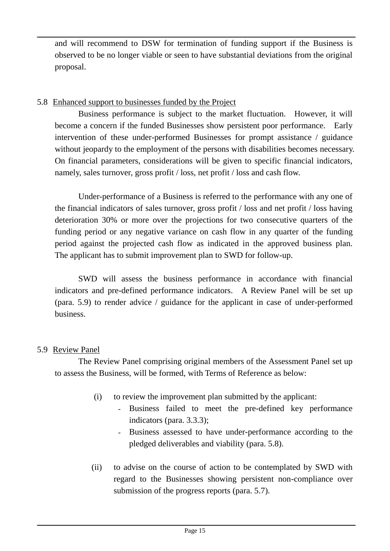and will recommend to DSW for termination of funding support if the Business is observed to be no longer viable or seen to have substantial deviations from the original proposal.

#### 5.8 Enhanced support to businesses funded by the Project

Business performance is subject to the market fluctuation. However, it will become a concern if the funded Businesses show persistent poor performance. Early intervention of these under-performed Businesses for prompt assistance / guidance without jeopardy to the employment of the persons with disabilities becomes necessary. On financial parameters, considerations will be given to specific financial indicators, namely, sales turnover, gross profit / loss, net profit / loss and cash flow.

Under-performance of a Business is referred to the performance with any one of the financial indicators of sales turnover, gross profit / loss and net profit / loss having deterioration 30% or more over the projections for two consecutive quarters of the funding period or any negative variance on cash flow in any quarter of the funding period against the projected cash flow as indicated in the approved business plan. The applicant has to submit improvement plan to SWD for follow-up.

SWD will assess the business performance in accordance with financial indicators and pre-defined performance indicators. A Review Panel will be set up (para. 5.9) to render advice / guidance for the applicant in case of under-performed business.

# 5.9 Review Panel

The Review Panel comprising original members of the Assessment Panel set up to assess the Business, will be formed, with Terms of Reference as below:

- (i) to review the improvement plan submitted by the applicant:
	- Business failed to meet the pre-defined key performance indicators (para. 3.3.3);
	- Business assessed to have under-performance according to the pledged deliverables and viability (para. 5.8).
- (ii) to advise on the course of action to be contemplated by SWD with regard to the Businesses showing persistent non-compliance over submission of the progress reports (para. 5.7).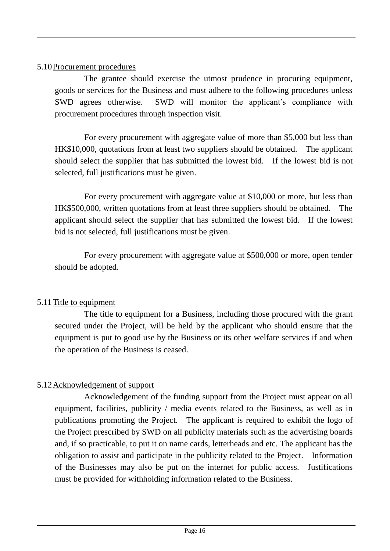#### 5.10Procurement procedures

The grantee should exercise the utmost prudence in procuring equipment, goods or services for the Business and must adhere to the following procedures unless SWD agrees otherwise. SWD will monitor the applicant's compliance with procurement procedures through inspection visit.

For every procurement with aggregate value of more than \$5,000 but less than HK\$10,000, quotations from at least two suppliers should be obtained. The applicant should select the supplier that has submitted the lowest bid. If the lowest bid is not selected, full justifications must be given.

For every procurement with aggregate value at \$10,000 or more, but less than HK\$500,000, written quotations from at least three suppliers should be obtained. The applicant should select the supplier that has submitted the lowest bid. If the lowest bid is not selected, full justifications must be given.

For every procurement with aggregate value at \$500,000 or more, open tender should be adopted.

# 5.11 Title to equipment

The title to equipment for a Business, including those procured with the grant secured under the Project, will be held by the applicant who should ensure that the equipment is put to good use by the Business or its other welfare services if and when the operation of the Business is ceased.

# 5.12Acknowledgement of support

Acknowledgement of the funding support from the Project must appear on all equipment, facilities, publicity / media events related to the Business, as well as in publications promoting the Project. The applicant is required to exhibit the logo of the Project prescribed by SWD on all publicity materials such as the advertising boards and, if so practicable, to put it on name cards, letterheads and etc. The applicant has the obligation to assist and participate in the publicity related to the Project. Information of the Businesses may also be put on the internet for public access. Justifications must be provided for withholding information related to the Business.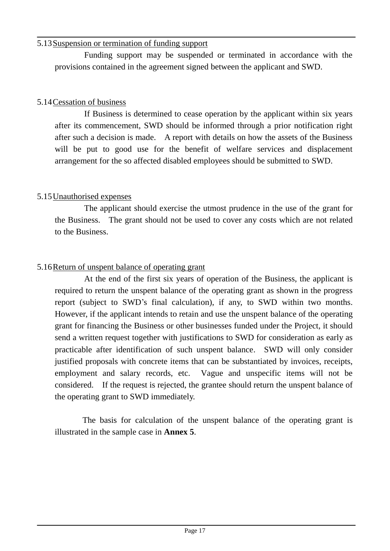#### 5.13Suspension or termination of funding support

Funding support may be suspended or terminated in accordance with the provisions contained in the agreement signed between the applicant and SWD.

# 5.14Cessation of business

If Business is determined to cease operation by the applicant within six years after its commencement, SWD should be informed through a prior notification right after such a decision is made. A report with details on how the assets of the Business will be put to good use for the benefit of welfare services and displacement arrangement for the so affected disabled employees should be submitted to SWD.

# 5.15Unauthorised expenses

The applicant should exercise the utmost prudence in the use of the grant for the Business. The grant should not be used to cover any costs which are not related to the Business.

# 5.16Return of unspent balance of operating grant

At the end of the first six years of operation of the Business, the applicant is required to return the unspent balance of the operating grant as shown in the progress report (subject to SWD's final calculation), if any, to SWD within two months. However, if the applicant intends to retain and use the unspent balance of the operating grant for financing the Business or other businesses funded under the Project, it should send a written request together with justifications to SWD for consideration as early as practicable after identification of such unspent balance. SWD will only consider justified proposals with concrete items that can be substantiated by invoices, receipts, employment and salary records, etc. Vague and unspecific items will not be considered. If the request is rejected, the grantee should return the unspent balance of the operating grant to SWD immediately.

The basis for calculation of the unspent balance of the operating grant is illustrated in the sample case in **Annex 5**.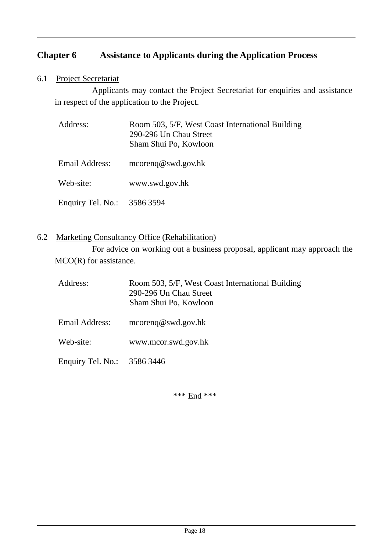# **Chapter 6 Assistance to Applicants during the Application Process**

6.1 Project Secretariat

Applicants may contact the Project Secretariat for enquiries and assistance in respect of the application to the Project.

| Address:                    | Room 503, 5/F, West Coast International Building<br>290-296 Un Chau Street<br>Sham Shui Po, Kowloon |
|-----------------------------|-----------------------------------------------------------------------------------------------------|
| Email Address:              | $\text{mcoreng}\textcircled{e}$ swd.gov.hk                                                          |
| Web-site:                   | www.swd.gov.hk                                                                                      |
| Enquiry Tel. No.: 3586 3594 |                                                                                                     |

#### 6.2 Marketing Consultancy Office (Rehabilitation)

For advice on working out a business proposal, applicant may approach the MCO(R) for assistance.

| Address:                    | Room 503, 5/F, West Coast International Building<br>290-296 Un Chau Street<br>Sham Shui Po, Kowloon |
|-----------------------------|-----------------------------------------------------------------------------------------------------|
| <b>Email Address:</b>       | $\text{mcoreng}\,\omega$ swd.gov.hk                                                                 |
| Web-site:                   | www.mcor.swd.gov.hk                                                                                 |
| Enquiry Tel. No.: 3586 3446 |                                                                                                     |

\*\*\* End \*\*\*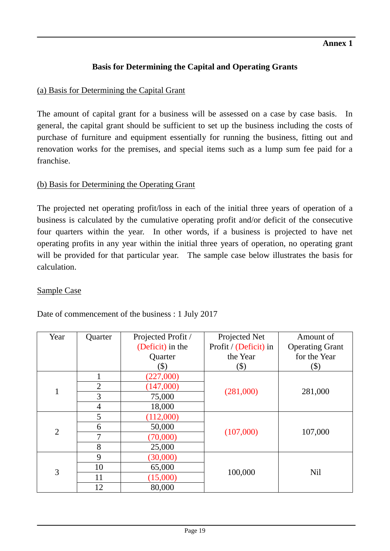# **Basis for Determining the Capital and Operating Grants**

# (a) Basis for Determining the Capital Grant

The amount of capital grant for a business will be assessed on a case by case basis. In general, the capital grant should be sufficient to set up the business including the costs of purchase of furniture and equipment essentially for running the business, fitting out and renovation works for the premises, and special items such as a lump sum fee paid for a franchise.

# (b) Basis for Determining the Operating Grant

The projected net operating profit/loss in each of the initial three years of operation of a business is calculated by the cumulative operating profit and/or deficit of the consecutive four quarters within the year. In other words, if a business is projected to have net operating profits in any year within the initial three years of operation, no operating grant will be provided for that particular year. The sample case below illustrates the basis for calculation.

# Sample Case

Date of commencement of the business : 1 July 2017

| Year           | Quarter        | Projected Profit /<br>Projected Net |                       | Amount of              |
|----------------|----------------|-------------------------------------|-----------------------|------------------------|
|                |                | (Deficit) in the                    | Profit / (Deficit) in | <b>Operating Grant</b> |
|                |                | Quarter                             | the Year              | for the Year           |
|                |                | $(\$)$                              | $(\$)$                | $(\$)$                 |
| $\mathbf{1}$   | $\mathbf{1}$   | (227,000)                           |                       | 281,000                |
|                | $\overline{2}$ | (147,000)                           |                       |                        |
|                | 3              | 75,000                              | (281,000)             |                        |
|                | 4              | 18,000                              |                       |                        |
| $\overline{2}$ | 5              | (112,000)                           |                       | 107,000                |
|                | 6              | 50,000                              |                       |                        |
|                | 7              | (70,000)                            | (107,000)             |                        |
|                | 8              | 25,000                              |                       |                        |
| 3              | 9              | (30,000)                            |                       |                        |
|                | 10             | 65,000                              |                       | N <sub>il</sub>        |
|                | 11             | (15,000)                            | 100,000               |                        |
|                | 12             | 80,000                              |                       |                        |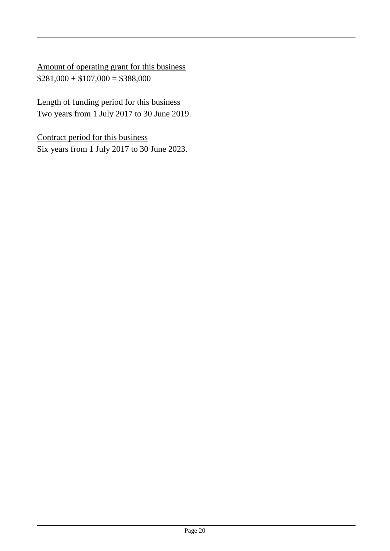Amount of operating grant for this business  $$281,000 + $107,000 = $388,000$ 

Length of funding period for this business Two years from 1 July 2017 to 30 June 2019.

Contract period for this business Six years from 1 July 2017 to 30 June 2023.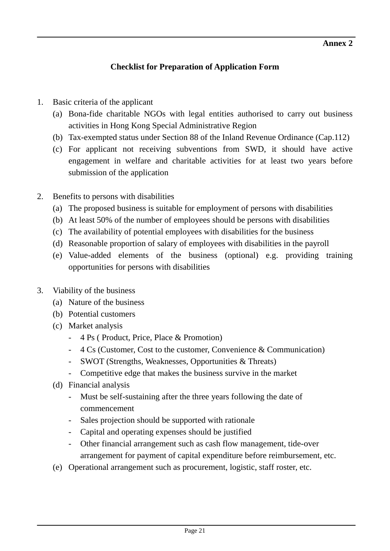# **Checklist for Preparation of Application Form**

- 1. Basic criteria of the applicant
	- (a) Bona-fide charitable NGOs with legal entities authorised to carry out business activities in Hong Kong Special Administrative Region
	- (b) Tax-exempted status under Section 88 of the Inland Revenue Ordinance (Cap.112)
	- (c) For applicant not receiving subventions from SWD, it should have active engagement in welfare and charitable activities for at least two years before submission of the application
- 2. Benefits to persons with disabilities
	- (a) The proposed business is suitable for employment of persons with disabilities
	- (b) At least 50% of the number of employees should be persons with disabilities
	- (c) The availability of potential employees with disabilities for the business
	- (d) Reasonable proportion of salary of employees with disabilities in the payroll
	- (e) Value-added elements of the business (optional) e.g. providing training opportunities for persons with disabilities
- 3. Viability of the business
	- (a) Nature of the business
	- (b) Potential customers
	- (c) Market analysis
		- 4 Ps ( Product, Price, Place & Promotion)
		- 4 Cs (Customer, Cost to the customer, Convenience & Communication)
		- SWOT (Strengths, Weaknesses, Opportunities & Threats)
		- Competitive edge that makes the business survive in the market
	- (d) Financial analysis
		- Must be self-sustaining after the three years following the date of commencement
		- Sales projection should be supported with rationale
		- Capital and operating expenses should be justified
		- Other financial arrangement such as cash flow management, tide-over arrangement for payment of capital expenditure before reimbursement, etc.
	- (e) Operational arrangement such as procurement, logistic, staff roster, etc.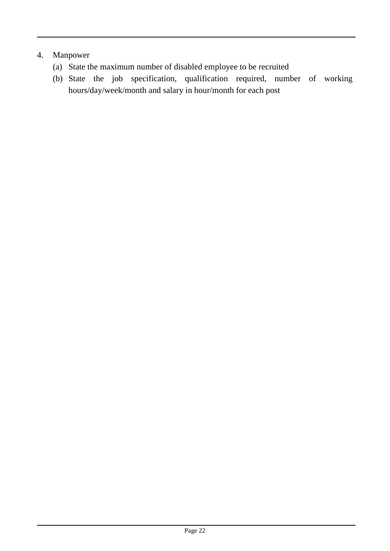# 4. Manpower

- (a) State the maximum number of disabled employee to be recruited
- (b) State the job specification, qualification required, number of working hours/day/week/month and salary in hour/month for each post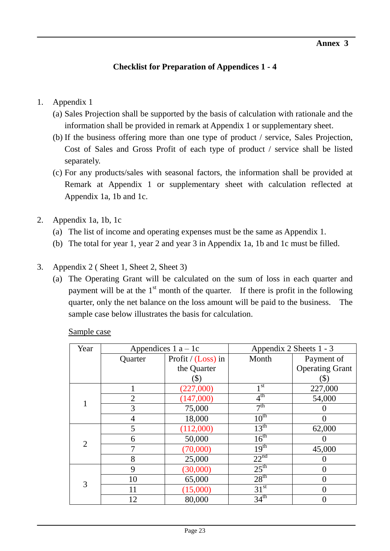# **Checklist for Preparation of Appendices 1 - 4**

#### 1. Appendix 1

- (a) Sales Projection shall be supported by the basis of calculation with rationale and the information shall be provided in remark at Appendix 1 or supplementary sheet.
- (b) If the business offering more than one type of product / service, Sales Projection, Cost of Sales and Gross Profit of each type of product / service shall be listed separately.
- (c) For any products/sales with seasonal factors, the information shall be provided at Remark at Appendix 1 or supplementary sheet with calculation reflected at Appendix 1a, 1b and 1c.
- 2. Appendix 1a, 1b, 1c
	- (a) The list of income and operating expenses must be the same as Appendix 1.
	- (b) The total for year 1, year 2 and year 3 in Appendix 1a, 1b and 1c must be filled.

#### 3. Appendix 2 ( Sheet 1, Sheet 2, Sheet 3)

(a) The Operating Grant will be calculated on the sum of loss in each quarter and payment will be at the  $1<sup>st</sup>$  month of the quarter. If there is profit in the following quarter, only the net balance on the loss amount will be paid to the business. The sample case below illustrates the basis for calculation.

Sample case

| Year           | Appendices $1a-1c$ |                      | Appendix 2 Sheets 1 - 3 |                        |
|----------------|--------------------|----------------------|-------------------------|------------------------|
|                | Quarter            | Profit / $(Loss)$ in | Month                   | Payment of             |
|                |                    | the Quarter          |                         | <b>Operating Grant</b> |
|                |                    | (\$)                 |                         | (\$)                   |
|                |                    | (227,000)            | 1 <sub>st</sub>         | 227,000                |
|                | 2                  | (147,000)            | 4 <sup>th</sup>         | 54,000                 |
|                | 3                  | 75,000               | 7 <sup>th</sup>         |                        |
|                | 4                  | 18,000               | $10^{\text{th}}$        |                        |
| $\overline{2}$ | 5                  | (112,000)            | $13^{\text{th}}$        | 62,000                 |
|                | 6                  | 50,000               | $16^{\text{th}}$        |                        |
|                | 7                  | (70,000)             | 19 <sup>th</sup>        | 45,000                 |
|                | 8                  | 25,000               | 22 <sup>nd</sup>        |                        |
| 3              | 9                  | (30,000)             | $25^{\text{th}}$        | 0                      |
|                | 10                 | 65,000               | 28 <sup>th</sup>        |                        |
|                | 11                 | (15,000)             | 31 <sup>st</sup>        |                        |
|                | 12                 | 80,000               | 34 <sup>th</sup>        |                        |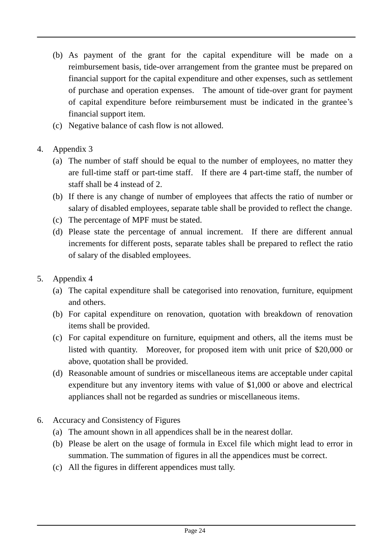- (b) As payment of the grant for the capital expenditure will be made on a reimbursement basis, tide-over arrangement from the grantee must be prepared on financial support for the capital expenditure and other expenses, such as settlement of purchase and operation expenses. The amount of tide-over grant for payment of capital expenditure before reimbursement must be indicated in the grantee's financial support item.
- (c) Negative balance of cash flow is not allowed.
- 4. Appendix 3
	- (a) The number of staff should be equal to the number of employees, no matter they are full-time staff or part-time staff. If there are 4 part-time staff, the number of staff shall be 4 instead of 2.
	- (b) If there is any change of number of employees that affects the ratio of number or salary of disabled employees, separate table shall be provided to reflect the change.
	- (c) The percentage of MPF must be stated.
	- (d) Please state the percentage of annual increment. If there are different annual increments for different posts, separate tables shall be prepared to reflect the ratio of salary of the disabled employees.
- 5. Appendix 4
	- (a) The capital expenditure shall be categorised into renovation, furniture, equipment and others.
	- (b) For capital expenditure on renovation, quotation with breakdown of renovation items shall be provided.
	- (c) For capital expenditure on furniture, equipment and others, all the items must be listed with quantity. Moreover, for proposed item with unit price of \$20,000 or above, quotation shall be provided.
	- (d) Reasonable amount of sundries or miscellaneous items are acceptable under capital expenditure but any inventory items with value of \$1,000 or above and electrical appliances shall not be regarded as sundries or miscellaneous items.
- 6. Accuracy and Consistency of Figures
	- (a) The amount shown in all appendices shall be in the nearest dollar.
	- (b) Please be alert on the usage of formula in Excel file which might lead to error in summation. The summation of figures in all the appendices must be correct.
	- (c) All the figures in different appendices must tally.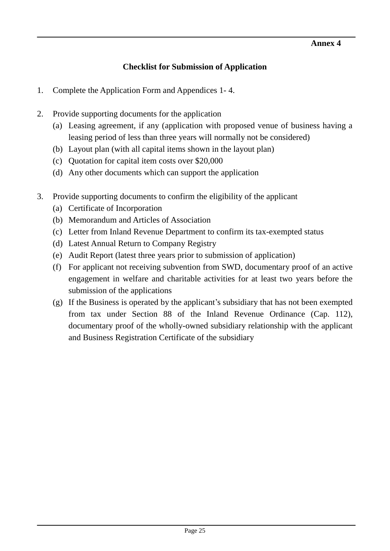# **Checklist for Submission of Application**

- 1. Complete the Application Form and Appendices 1- 4.
- 2. Provide supporting documents for the application
	- (a) Leasing agreement, if any (application with proposed venue of business having a leasing period of less than three years will normally not be considered)
	- (b) Layout plan (with all capital items shown in the layout plan)
	- (c) Quotation for capital item costs over \$20,000
	- (d) Any other documents which can support the application
- 3. Provide supporting documents to confirm the eligibility of the applicant
	- (a) Certificate of Incorporation
	- (b) Memorandum and Articles of Association
	- (c) Letter from Inland Revenue Department to confirm its tax-exempted status
	- (d) Latest Annual Return to Company Registry
	- (e) Audit Report (latest three years prior to submission of application)
	- (f) For applicant not receiving subvention from SWD, documentary proof of an active engagement in welfare and charitable activities for at least two years before the submission of the applications
	- (g) If the Business is operated by the applicant's subsidiary that has not been exempted from tax under Section 88 of the Inland Revenue Ordinance (Cap. 112), documentary proof of the wholly-owned subsidiary relationship with the applicant and Business Registration Certificate of the subsidiary